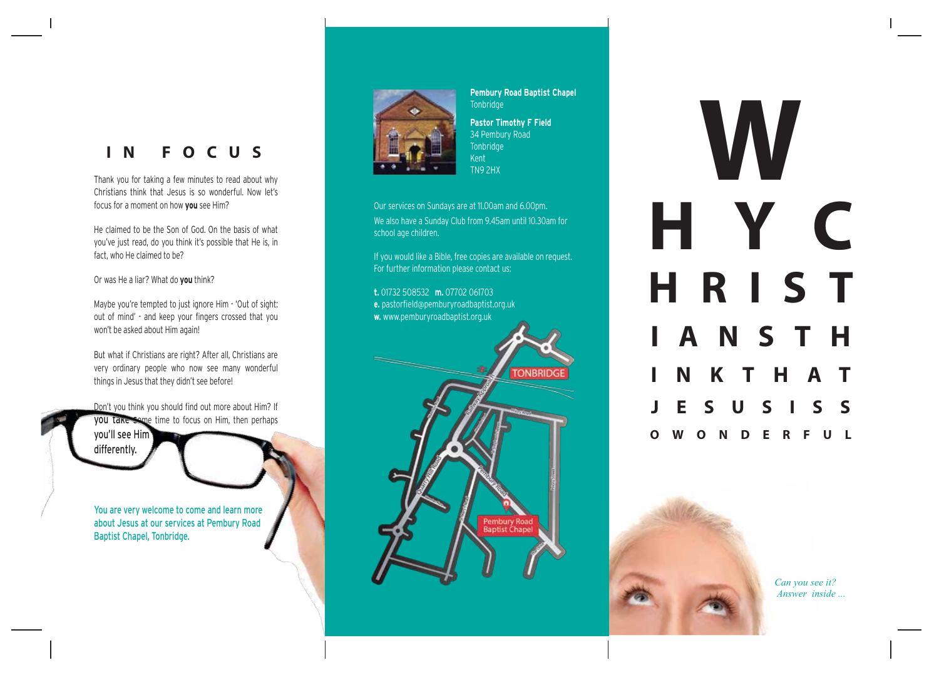# **I N F O C U S**

Thank you for taking a few minutes to read about why Christians think that Jesus is so wonderful. Now let's focus for a moment on how **you** see Him?

He claimed to be the Son of God. On the basis of what you've just read, do you think it's possible that He is, in fact, who He claimed to be?

Or was He a liar? What do **you** think?

Maybe you're tempted to just ignore Him - 'Out of sight: out of mind' - and keep your fingers crossed that you won't be asked about Him again!

But what if Christians are right? After all, Christians are very ordinary people who now see many wonderful things in Jesus that they didn't see before!

Don't you think you should find out more about Him? If you take some time to focus on Him, then perhaps you'll see Him differently.

You are very welcome to come and learn more about Jesus at our services at Pembury Road Baptist Chapel, Tonbridge.



**Pembury Road Baptist Chapel** Tonbridge

**Pastor Timothy F Field** 34 Pembury Road Tonbridge Kent TN9 2HX

Our services on Sundays are at 11.00am and 6.00pm. We also have a Sunday Club from 9.45am until 10.30am for school age children.

If you would like a Bible, free copies are available on request. For further information please contact us:

**t.** 01732 508532 **m.** 07702 061703 **e.** pastorfield@pemburyroadbaptist.org.uk

**w.** www.pemburyroadbaptist.org.uk



**W H Y C HRIS T IANST H I N K T H A T J E S U S I S S O W O N D E R F U L**